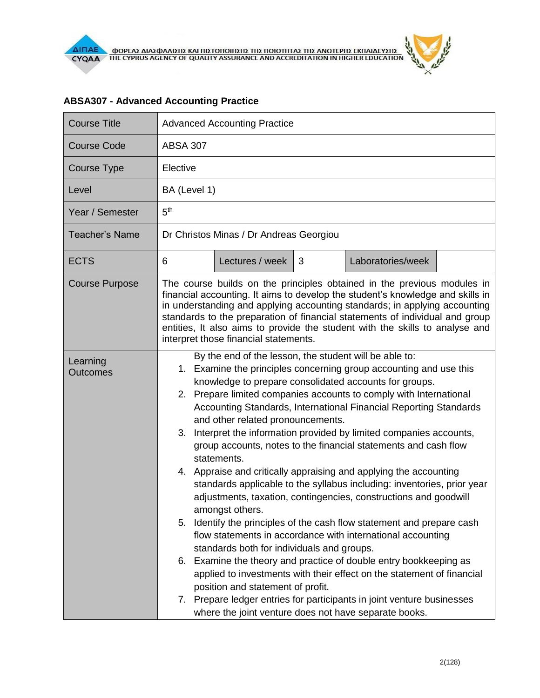| <b>Course Title</b>         | <b>Advanced Accounting Practice</b>                                                                                                                                                                                                                                                                                                                                                                                                                                                                                                                                                                                                                                                                                                                                                                                                                                                                                                                                                                                                                                                                                                                                                                                                                                                            |  |  |
|-----------------------------|------------------------------------------------------------------------------------------------------------------------------------------------------------------------------------------------------------------------------------------------------------------------------------------------------------------------------------------------------------------------------------------------------------------------------------------------------------------------------------------------------------------------------------------------------------------------------------------------------------------------------------------------------------------------------------------------------------------------------------------------------------------------------------------------------------------------------------------------------------------------------------------------------------------------------------------------------------------------------------------------------------------------------------------------------------------------------------------------------------------------------------------------------------------------------------------------------------------------------------------------------------------------------------------------|--|--|
| <b>Course Code</b>          | <b>ABSA 307</b>                                                                                                                                                                                                                                                                                                                                                                                                                                                                                                                                                                                                                                                                                                                                                                                                                                                                                                                                                                                                                                                                                                                                                                                                                                                                                |  |  |
| <b>Course Type</b>          | Elective                                                                                                                                                                                                                                                                                                                                                                                                                                                                                                                                                                                                                                                                                                                                                                                                                                                                                                                                                                                                                                                                                                                                                                                                                                                                                       |  |  |
| Level                       | BA (Level 1)                                                                                                                                                                                                                                                                                                                                                                                                                                                                                                                                                                                                                                                                                                                                                                                                                                                                                                                                                                                                                                                                                                                                                                                                                                                                                   |  |  |
| Year / Semester             | 5 <sup>th</sup>                                                                                                                                                                                                                                                                                                                                                                                                                                                                                                                                                                                                                                                                                                                                                                                                                                                                                                                                                                                                                                                                                                                                                                                                                                                                                |  |  |
| <b>Teacher's Name</b>       | Dr Christos Minas / Dr Andreas Georgiou                                                                                                                                                                                                                                                                                                                                                                                                                                                                                                                                                                                                                                                                                                                                                                                                                                                                                                                                                                                                                                                                                                                                                                                                                                                        |  |  |
| <b>ECTS</b>                 | 6<br>Lectures / week<br>Laboratories/week<br>3                                                                                                                                                                                                                                                                                                                                                                                                                                                                                                                                                                                                                                                                                                                                                                                                                                                                                                                                                                                                                                                                                                                                                                                                                                                 |  |  |
| <b>Course Purpose</b>       | The course builds on the principles obtained in the previous modules in<br>financial accounting. It aims to develop the student's knowledge and skills in<br>in understanding and applying accounting standards; in applying accounting<br>standards to the preparation of financial statements of individual and group<br>entities, It also aims to provide the student with the skills to analyse and<br>interpret those financial statements.                                                                                                                                                                                                                                                                                                                                                                                                                                                                                                                                                                                                                                                                                                                                                                                                                                               |  |  |
| Learning<br><b>Outcomes</b> | By the end of the lesson, the student will be able to:<br>1. Examine the principles concerning group accounting and use this<br>knowledge to prepare consolidated accounts for groups.<br>Prepare limited companies accounts to comply with International<br>2.<br>Accounting Standards, International Financial Reporting Standards<br>and other related pronouncements.<br>Interpret the information provided by limited companies accounts,<br>3.<br>group accounts, notes to the financial statements and cash flow<br>statements.<br>4. Appraise and critically appraising and applying the accounting<br>standards applicable to the syllabus including: inventories, prior year<br>adjustments, taxation, contingencies, constructions and goodwill<br>amongst others.<br>Identify the principles of the cash flow statement and prepare cash<br>5.<br>flow statements in accordance with international accounting<br>standards both for individuals and groups.<br>6. Examine the theory and practice of double entry bookkeeping as<br>applied to investments with their effect on the statement of financial<br>position and statement of profit.<br>7. Prepare ledger entries for participants in joint venture businesses<br>where the joint venture does not have separate books. |  |  |

## **ABSA307 - Advanced Accounting Practice**

ó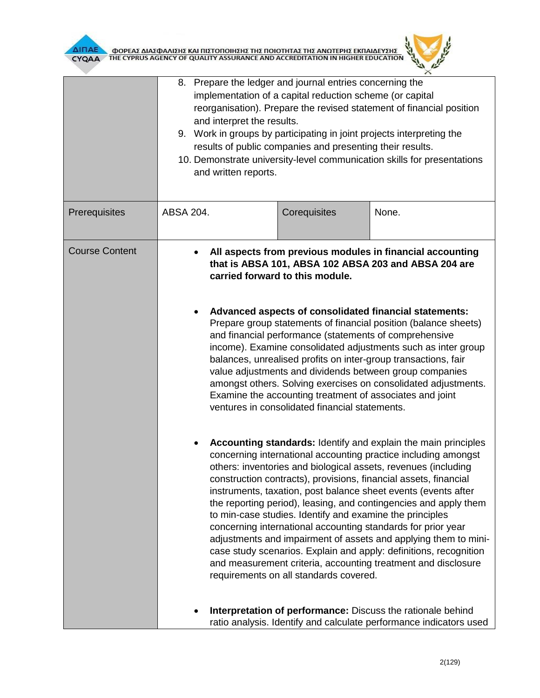

|                       | 8. Prepare the ledger and journal entries concerning the<br>implementation of a capital reduction scheme (or capital<br>reorganisation). Prepare the revised statement of financial position<br>and interpret the results.<br>9. Work in groups by participating in joint projects interpreting the<br>results of public companies and presenting their results.<br>10. Demonstrate university-level communication skills for presentations<br>and written reports.                                                                                                                                                                                                                                                                                                                                                                                                                                                                                                                                                                                                                                                                                                                                                                                                                                                                                                                                                                                                                                                      |              |                                                                                                                                   |
|-----------------------|--------------------------------------------------------------------------------------------------------------------------------------------------------------------------------------------------------------------------------------------------------------------------------------------------------------------------------------------------------------------------------------------------------------------------------------------------------------------------------------------------------------------------------------------------------------------------------------------------------------------------------------------------------------------------------------------------------------------------------------------------------------------------------------------------------------------------------------------------------------------------------------------------------------------------------------------------------------------------------------------------------------------------------------------------------------------------------------------------------------------------------------------------------------------------------------------------------------------------------------------------------------------------------------------------------------------------------------------------------------------------------------------------------------------------------------------------------------------------------------------------------------------------|--------------|-----------------------------------------------------------------------------------------------------------------------------------|
| Prerequisites         | ABSA 204.                                                                                                                                                                                                                                                                                                                                                                                                                                                                                                                                                                                                                                                                                                                                                                                                                                                                                                                                                                                                                                                                                                                                                                                                                                                                                                                                                                                                                                                                                                                | Corequisites | None.                                                                                                                             |
| <b>Course Content</b> | All aspects from previous modules in financial accounting<br>that is ABSA 101, ABSA 102 ABSA 203 and ABSA 204 are<br>carried forward to this module.<br>Advanced aspects of consolidated financial statements:<br>Prepare group statements of financial position (balance sheets)<br>and financial performance (statements of comprehensive<br>income). Examine consolidated adjustments such as inter group<br>balances, unrealised profits on inter-group transactions, fair<br>value adjustments and dividends between group companies<br>amongst others. Solving exercises on consolidated adjustments.<br>Examine the accounting treatment of associates and joint<br>ventures in consolidated financial statements.<br>Accounting standards: Identify and explain the main principles<br>concerning international accounting practice including amongst<br>others: inventories and biological assets, revenues (including<br>construction contracts), provisions, financial assets, financial<br>instruments, taxation, post balance sheet events (events after<br>the reporting period), leasing, and contingencies and apply them<br>to min-case studies. Identify and examine the principles<br>concerning international accounting standards for prior year<br>adjustments and impairment of assets and applying them to mini-<br>case study scenarios. Explain and apply: definitions, recognition<br>and measurement criteria, accounting treatment and disclosure<br>requirements on all standards covered. |              |                                                                                                                                   |
|                       |                                                                                                                                                                                                                                                                                                                                                                                                                                                                                                                                                                                                                                                                                                                                                                                                                                                                                                                                                                                                                                                                                                                                                                                                                                                                                                                                                                                                                                                                                                                          |              | Interpretation of performance: Discuss the rationale behind<br>ratio analysis. Identify and calculate performance indicators used |

 $\mu$  $\times$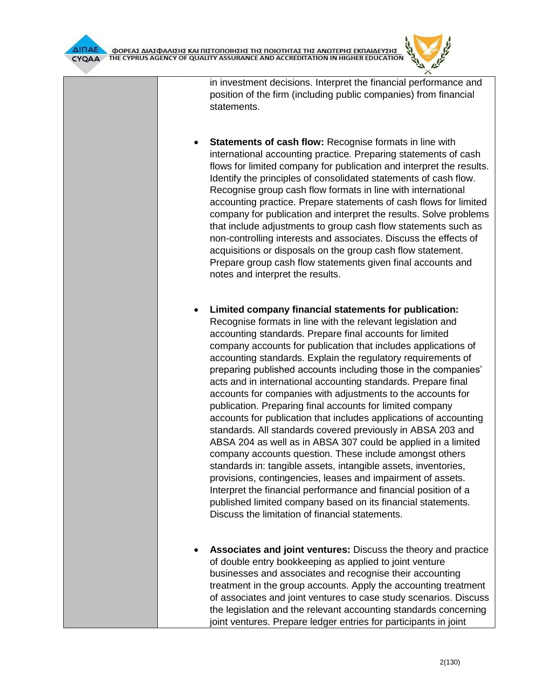in investment decisions. Interpret the financial performance and position of the firm (including public companies) from financial statements.

- **Statements of cash flow: Recognise formats in line with** international accounting practice. Preparing statements of cash flows for limited company for publication and interpret the results. Identify the principles of consolidated statements of cash flow. Recognise group cash flow formats in line with international accounting practice. Prepare statements of cash flows for limited company for publication and interpret the results. Solve problems that include adjustments to group cash flow statements such as non-controlling interests and associates. Discuss the effects of acquisitions or disposals on the group cash flow statement. Prepare group cash flow statements given final accounts and notes and interpret the results.
- **Limited company financial statements for publication:** Recognise formats in line with the relevant legislation and accounting standards. Prepare final accounts for limited company accounts for publication that includes applications of accounting standards. Explain the regulatory requirements of preparing published accounts including those in the companies' acts and in international accounting standards. Prepare final accounts for companies with adjustments to the accounts for publication. Preparing final accounts for limited company accounts for publication that includes applications of accounting standards. All standards covered previously in ABSA 203 and ABSA 204 as well as in ABSA 307 could be applied in a limited company accounts question. These include amongst others standards in: tangible assets, intangible assets, inventories, provisions, contingencies, leases and impairment of assets. Interpret the financial performance and financial position of a published limited company based on its financial statements. Discuss the limitation of financial statements.
- **Associates and joint ventures:** Discuss the theory and practice of double entry bookkeeping as applied to joint venture businesses and associates and recognise their accounting treatment in the group accounts. Apply the accounting treatment of associates and joint ventures to case study scenarios. Discuss the legislation and the relevant accounting standards concerning joint ventures. Prepare ledger entries for participants in joint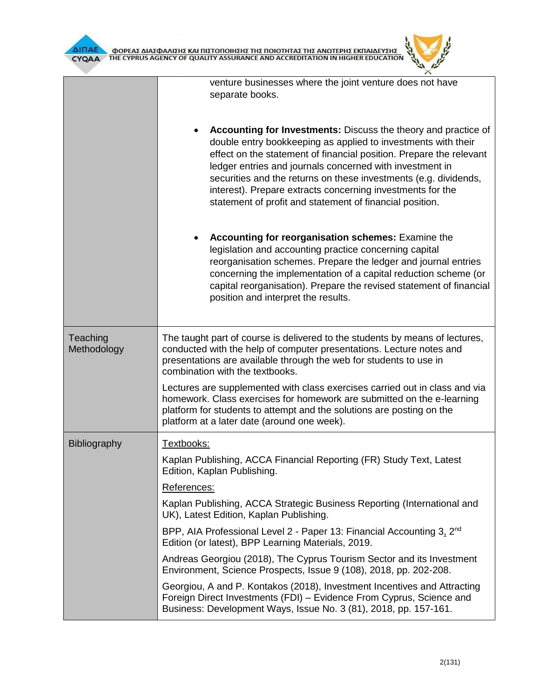

|                         | venture businesses where the joint venture does not have<br>separate books.                                                                                                                                                                                                                                                                                                                                                                                      |  |  |
|-------------------------|------------------------------------------------------------------------------------------------------------------------------------------------------------------------------------------------------------------------------------------------------------------------------------------------------------------------------------------------------------------------------------------------------------------------------------------------------------------|--|--|
|                         | Accounting for Investments: Discuss the theory and practice of<br>double entry bookkeeping as applied to investments with their<br>effect on the statement of financial position. Prepare the relevant<br>ledger entries and journals concerned with investment in<br>securities and the returns on these investments (e.g. dividends,<br>interest). Prepare extracts concerning investments for the<br>statement of profit and statement of financial position. |  |  |
|                         | Accounting for reorganisation schemes: Examine the<br>legislation and accounting practice concerning capital<br>reorganisation schemes. Prepare the ledger and journal entries<br>concerning the implementation of a capital reduction scheme (or<br>capital reorganisation). Prepare the revised statement of financial<br>position and interpret the results.                                                                                                  |  |  |
| Teaching<br>Methodology | The taught part of course is delivered to the students by means of lectures,<br>conducted with the help of computer presentations. Lecture notes and<br>presentations are available through the web for students to use in<br>combination with the textbooks.                                                                                                                                                                                                    |  |  |
|                         | Lectures are supplemented with class exercises carried out in class and via<br>homework. Class exercises for homework are submitted on the e-learning<br>platform for students to attempt and the solutions are posting on the<br>platform at a later date (around one week).                                                                                                                                                                                    |  |  |
| Bibliography            | Textbooks:                                                                                                                                                                                                                                                                                                                                                                                                                                                       |  |  |
|                         | Kaplan Publishing, ACCA Financial Reporting (FR) Study Text, Latest<br>Edition, Kaplan Publishing.                                                                                                                                                                                                                                                                                                                                                               |  |  |
|                         | References:                                                                                                                                                                                                                                                                                                                                                                                                                                                      |  |  |
|                         | Kaplan Publishing, ACCA Strategic Business Reporting (International and<br>UK), Latest Edition, Kaplan Publishing.                                                                                                                                                                                                                                                                                                                                               |  |  |
|                         | BPP, AIA Professional Level 2 - Paper 13: Financial Accounting 3, 2 <sup>nd</sup><br>Edition (or latest), BPP Learning Materials, 2019.                                                                                                                                                                                                                                                                                                                          |  |  |
|                         | Andreas Georgiou (2018), The Cyprus Tourism Sector and its Investment<br>Environment, Science Prospects, Issue 9 (108), 2018, pp. 202-208.                                                                                                                                                                                                                                                                                                                       |  |  |
|                         | Georgiou, A and P. Kontakos (2018), Investment Incentives and Attracting<br>Foreign Direct Investments (FDI) – Evidence From Cyprus, Science and<br>Business: Development Ways, Issue No. 3 (81), 2018, pp. 157-161.                                                                                                                                                                                                                                             |  |  |

 $\lambda$  $\mathbb{R}^2$